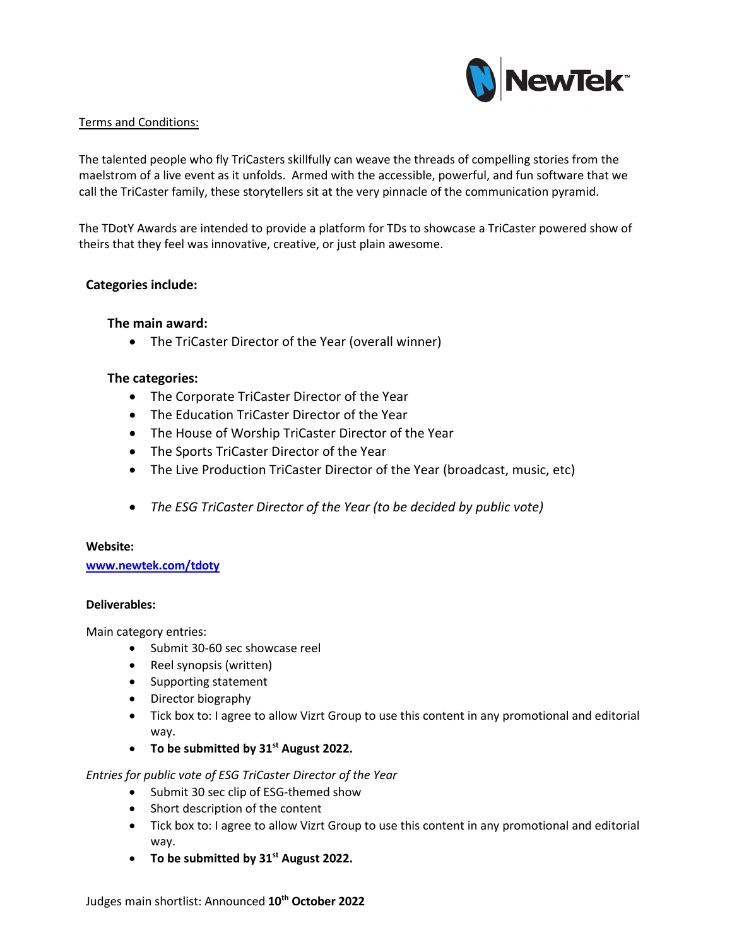

## Terms and Conditions:

The talented people who fly TriCasters skillfully can weave the threads of compelling stories from the maelstrom of a live event as it unfolds. Armed with the accessible, powerful, and fun software that we call the TriCaster family, these storytellers sit at the very pinnacle of the communication pyramid.

The TDotY Awards are intended to provide a platform for TDs to showcase a TriCaster powered show of theirs that they feel was innovative, creative, or just plain awesome.

# **Categories include:**

# **The main award:**

• The TriCaster Director of the Year (overall winner)

### **The categories:**

- The Corporate TriCaster Director of the Year
- The Education TriCaster Director of the Year
- The House of Worship TriCaster Director of the Year
- The Sports TriCaster Director of the Year
- The Live Production TriCaster Director of the Year (broadcast, music, etc)
- *The ESG TriCaster Director of the Year (to be decided by public vote)*

#### **Website:**

**[www.newtek.com/tdoty](http://www.newtek.com/tdoty)**

### **Deliverables:**

Main category entries:

- Submit 30-60 sec showcase reel
- Reel synopsis (written)
- Supporting statement
- Director biography
- Tick box to: I agree to allow Vizrt Group to use this content in any promotional and editorial way.
- **To be submitted by 31st August 2022.**

*Entries for public vote of ESG TriCaster Director of the Year*

- Submit 30 sec clip of ESG-themed show
- Short description of the content
- Tick box to: I agree to allow Vizrt Group to use this content in any promotional and editorial way.
- **To be submitted by 31st August 2022.**

Judges main shortlist: Announced **10th October 2022**